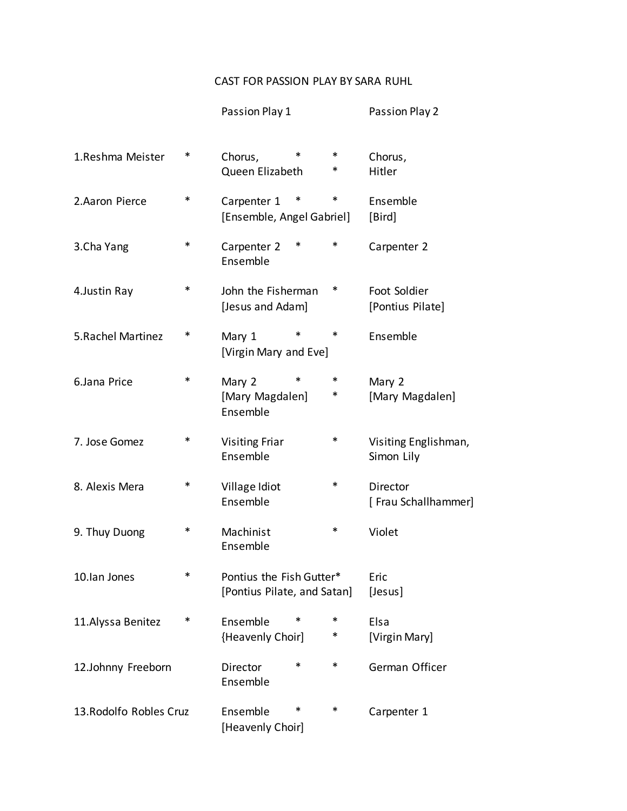## CAST FOR PASSION PLAY BY SARA RUHL

|                         |   | Passion Play 1                                          |        | Passion Play 2                     |
|-------------------------|---|---------------------------------------------------------|--------|------------------------------------|
| 1.Reshma Meister        | ∗ | *<br>Chorus,<br>Queen Elizabeth                         | ∗<br>∗ | Chorus,<br>Hitler                  |
| 2.Aaron Pierce          | ∗ | Carpenter 1<br>∗<br>[Ensemble, Angel Gabriel]           | ∗      | Ensemble<br>[Bird]                 |
| 3.Cha Yang              | ∗ | *<br>Carpenter 2<br>Ensemble                            | *      | Carpenter 2                        |
| 4. Justin Ray           | * | John the Fisherman<br>[Jesus and Adam]                  | ∗      | Foot Soldier<br>[Pontius Pilate]   |
| 5. Rachel Martinez      | ∗ | *<br>Mary 1<br>[Virgin Mary and Eve]                    | *      | Ensemble                           |
| 6.Jana Price            | * | *<br>Mary 2<br>[Mary Magdalen]<br>Ensemble              | *<br>∗ | Mary 2<br>[Mary Magdalen]          |
| 7. Jose Gomez           | ∗ | <b>Visiting Friar</b><br>Ensemble                       | ∗      | Visiting Englishman,<br>Simon Lily |
| 8. Alexis Mera          | ∗ | Village Idiot<br>Ensemble                               | ∗      | Director<br>[Frau Schallhammer]    |
| 9. Thuy Duong           | ∗ | Machinist<br>Ensemble                                   | ∗      | Violet                             |
| 10.Ian Jones            | * | Pontius the Fish Gutter*<br>[Pontius Pilate, and Satan] |        | Eric<br>[Jesus]                    |
| 11. Alyssa Benitez      | ∗ | *<br>Ensemble<br>{Heavenly Choir]                       | *<br>∗ | Elsa<br>[Virgin Mary]              |
| 12.Johnny Freeborn      |   | *<br>Director<br>Ensemble                               | *      | German Officer                     |
| 13. Rodolfo Robles Cruz |   | ∗<br>Ensemble<br>[Heavenly Choir]                       | ∗      | Carpenter 1                        |